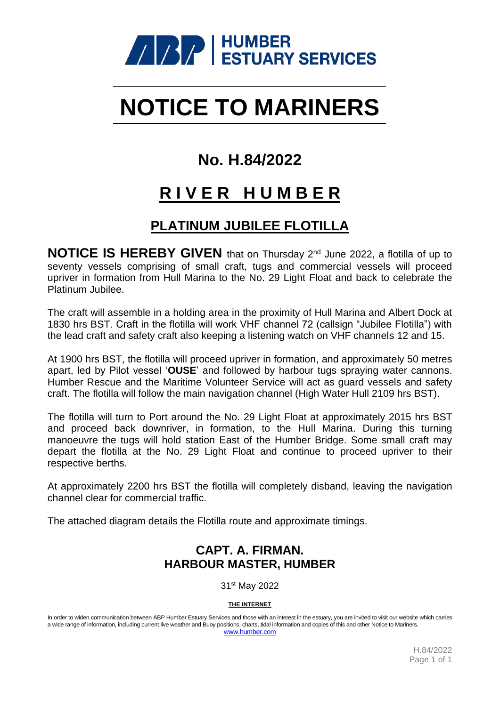

# **NOTICE TO MARINERS**

### **No. H.84/2022**

## **R I V E R H U M B E R**

### **PLATINUM JUBILEE FLOTILLA**

**NOTICE IS HEREBY GIVEN** that on Thursday 2<sup>nd</sup> June 2022, a flotilla of up to seventy vessels comprising of small craft, tugs and commercial vessels will proceed upriver in formation from Hull Marina to the No. 29 Light Float and back to celebrate the Platinum Jubilee.

The craft will assemble in a holding area in the proximity of Hull Marina and Albert Dock at 1830 hrs BST. Craft in the flotilla will work VHF channel 72 (callsign "Jubilee Flotilla") with the lead craft and safety craft also keeping a listening watch on VHF channels 12 and 15.

At 1900 hrs BST, the flotilla will proceed upriver in formation, and approximately 50 metres apart, led by Pilot vessel '**OUSE**' and followed by harbour tugs spraying water cannons. Humber Rescue and the Maritime Volunteer Service will act as guard vessels and safety craft. The flotilla will follow the main navigation channel (High Water Hull 2109 hrs BST).

The flotilla will turn to Port around the No. 29 Light Float at approximately 2015 hrs BST and proceed back downriver, in formation, to the Hull Marina. During this turning manoeuvre the tugs will hold station East of the Humber Bridge. Some small craft may depart the flotilla at the No. 29 Light Float and continue to proceed upriver to their respective berths.

At approximately 2200 hrs BST the flotilla will completely disband, leaving the navigation channel clear for commercial traffic.

The attached diagram details the Flotilla route and approximate timings.

#### **CAPT. A. FIRMAN. HARBOUR MASTER, HUMBER**

31 st May 2022

**THE INTERNET**

In order to widen communication between ABP Humber Estuary Services and those with an interest in the estuary, you are invited to visit our website which carries a wide range of information, including current live weather and Buoy positions, charts, tidal information and copies of this and other Notice to Mariners. [www.humber.com](http://www.humber.com/)